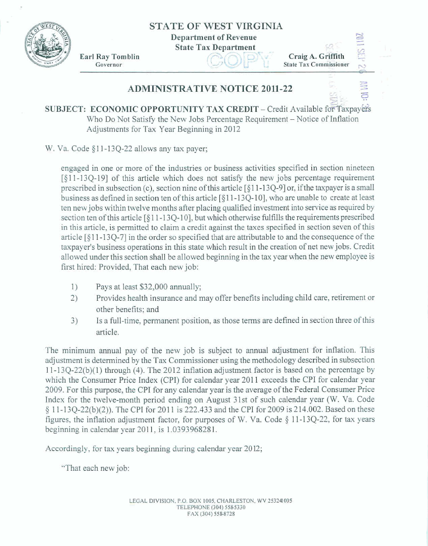**STATE OF WEST VIRGINIA** 

**Department of Revenue** 

**State Tax Department** 



**Ear1 Ray Tom bIin Example 18 State 18 x Department**<br> **Governor** 

r-1 - r/r **I I Craig A. Griffith**<br>  $\begin{array}{ccc}\n\text{Craig A. Griffith} & \overset{\text{CQ}}{\rightarrow} & \overset{\text{CQ}}{\rightarrow} \\
\text{State Tax Commissioner} & \circ & \end{array}$ 

-

## **ADMINISTRATIVE NOTICE 20ll-22**

*s--* :" **SUBJECT: ECONOMIC OPPORTUNITY TAX CREDIT** – Credit Available for Taxpay Who Do Not Satisfy the New Jobs Percentage Requirement - Notice of Inflation Adjustments for Tax Year Beginning in **2012** 

W. Va. Code §11-13Q-22 allows any tax payer;

engaged in one or **more** af the industries or business activities **specified** in section nineteen [gll-13Q-191 of **this** article which **does** nut **satisfy** the new **jobs** percentage requirement prescribed in subsection (c), section nine of this article [§11-13Q-9] or, if the taxpayer is a small **business** as defined in section ten of **this** article [§ **1** 1 - 1 **3 Q-** 1 0 3, who are unahle **to** create at least **ten new** jobs within **twelve** months after placing **qualified** investment **into service** a. required **by**  section ten of this article **[FJ** I **1** - 13Q-101, but **which otherwise** fulfills the requirements **prescribed**  in **this** article, is permitted to claim **a** credit against **the taxes specified** in section **seven of** this **article** [§I 1-134-71 in the order *so* **specified** that are **attributable to** and theconsequence ofthe **taxpayer's** business **opemtions** in this state which **result** in the creation of net **new** jobs. Credit allowed under this section shall be allowed beginning **in** the tax year **when** the **new** employee is first hired: Provided, **That** each new **job:** 

- 1) Pays at least \$32,000 annually;
- *2)* Provides **health** insurance and **may** offer **benefits including** child care, retirement or other benefits; and
- **3)** Is a full-time, **permanent** position, as those terms are defined in section **three of this**  article.

The minimum mual **pay** of the new job **is** subject **to** annual adjustment for inflation. This adjustment **is** determined by the Tax Commissioner **using the** methadology described in **subsection**  1 1 - 1 34-22(b)(1) through (4). The **20** 1 2 idation adjustment **factor is based** on the **percentage by which the Consumer** Price **Index** (CPI) **for** calendar **year** 201 1 **exceeds tihe** CPI **for** calendar **yeas**  2 **009. Far** *this* purpose, **the** CPT for *my* calendar year **is** the average of the Federal Consumer **Price**  Index **for the** twelve-manth period ending an **August** 31st of such calendar year (W, Va. **Code**  \$ 1 **1-1 3Q-22@)(2))** The CPI for 20 1 1 **is** 222.433 and the CPI for 2009 **is** 2 14.002. Based on **these**  figures, the inflation adjustment factor, for purposes of W. Va. Code § 11-13Q-22, for tax years beginning **in** calendar year 220 1 1, is 1.039396828 1.

**Accordingly,** far **tax** years beginning during calendar **year** 20 12;

**"That** each **new** job: